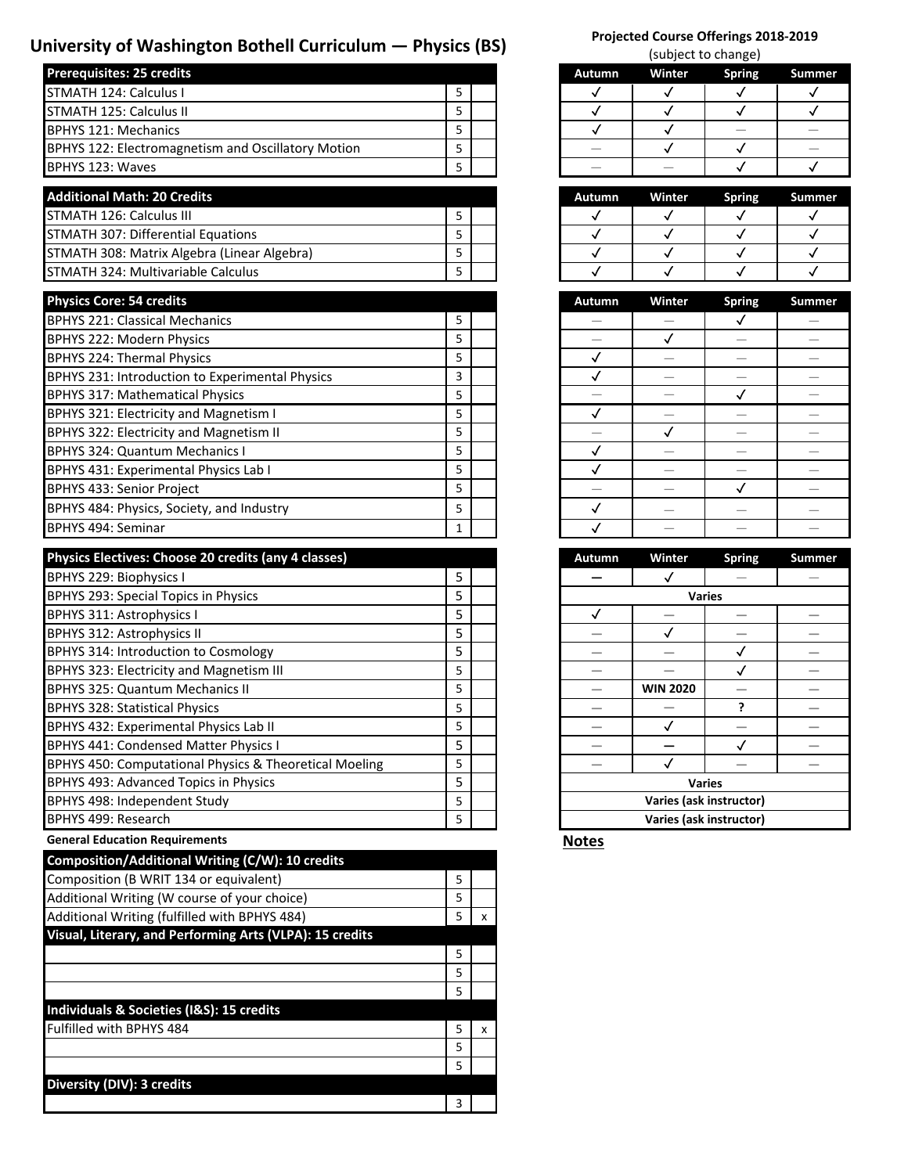# University of Washington Bothell Curriculum — Physics (BS)

|  | Autumn | Winter | <b>Spring</b> | Sumr |
|--|--------|--------|---------------|------|
|  |        |        |               |      |
|  |        |        |               |      |
|  |        |        |               |      |
|  |        |        |               |      |
|  |        |        |               |      |
|  |        |        |               |      |

| <b>Additional Math: 20 Credits</b>          |  |  | Autumn | Winter | <b>Spring</b> | Sumr |
|---------------------------------------------|--|--|--------|--------|---------------|------|
| <b>ISTMATH 126: Calculus III</b>            |  |  |        |        |               |      |
| STMATH 307: Differential Equations          |  |  |        |        |               |      |
| STMATH 308: Matrix Algebra (Linear Algebra) |  |  |        |        |               |      |
| <b>ISTMATH 324: Multivariable Calculus</b>  |  |  |        |        |               |      |

| <b>Physics Core: 54 credits</b>                 |    | Autumn | Winter | <b>Spring</b> | Sumr |
|-------------------------------------------------|----|--------|--------|---------------|------|
| <b>BPHYS 221: Classical Mechanics</b>           | 5. |        |        |               |      |
| BPHYS 222: Modern Physics                       | 5. |        |        |               |      |
| <b>BPHYS 224: Thermal Physics</b>               | 5  |        |        |               |      |
| BPHYS 231: Introduction to Experimental Physics | 3  |        |        |               |      |
| <b>BPHYS 317: Mathematical Physics</b>          | 5. |        |        |               |      |
| BPHYS 321: Electricity and Magnetism I          | 5. |        |        |               |      |
| BPHYS 322: Electricity and Magnetism II         | 5. |        |        |               |      |
| BPHYS 324: Quantum Mechanics I                  | 5. |        |        |               |      |
| BPHYS 431: Experimental Physics Lab I           | 5. |        |        |               |      |
| BPHYS 433: Senior Project                       | 5. |        |        |               |      |
| BPHYS 484: Physics, Society, and Industry       | 5  |        |        |               |      |
| BPHYS 494: Seminar                              |    |        |        |               |      |

| Physics Electives: Choose 20 credits (any 4 classes)   |    | Autumn                  | Winter          | <b>Spring</b> | Sumr |
|--------------------------------------------------------|----|-------------------------|-----------------|---------------|------|
| BPHYS 229: Biophysics I                                | 5. |                         |                 |               |      |
| BPHYS 293: Special Topics in Physics                   | 5. |                         | <b>Varies</b>   |               |      |
| BPHYS 311: Astrophysics I                              | 5. |                         |                 |               |      |
| BPHYS 312: Astrophysics II                             | 5. |                         |                 |               |      |
| BPHYS 314: Introduction to Cosmology                   | 5  |                         |                 |               |      |
| BPHYS 323: Electricity and Magnetism III               | 5. |                         |                 |               |      |
| BPHYS 325: Quantum Mechanics II                        | 5. |                         | <b>WIN 2020</b> |               |      |
| <b>BPHYS 328: Statistical Physics</b>                  | 5. |                         |                 |               |      |
| BPHYS 432: Experimental Physics Lab II                 | 5. |                         |                 |               |      |
| BPHYS 441: Condensed Matter Physics I                  | 5. |                         |                 |               |      |
| BPHYS 450: Computational Physics & Theoretical Moeling | 5. |                         | √               |               |      |
| BPHYS 493: Advanced Topics in Physics                  | 5. | <b>Varies</b>           |                 |               |      |
| BPHYS 498: Independent Study                           | 5. | Varies (ask instructor) |                 |               |      |
| BPHYS 499: Research                                    | 5. | Varies (ask instructor) |                 |               |      |

## **General Education Requirements Notes**

| Composition/Additional Writing (C/W): 10 credits         |   |   |
|----------------------------------------------------------|---|---|
| Composition (B WRIT 134 or equivalent)                   | 5 |   |
| Additional Writing (W course of your choice)             | 5 |   |
| Additional Writing (fulfilled with BPHYS 484)            | 5 | x |
| Visual, Literary, and Performing Arts (VLPA): 15 credits |   |   |
|                                                          | 5 |   |
|                                                          | 5 |   |
|                                                          | 5 |   |
| Individuals & Societies (I&S): 15 credits                |   |   |
| <b>Fulfilled with BPHYS 484</b>                          | 5 | x |
|                                                          | 5 |   |
|                                                          | 5 |   |
| Diversity (DIV): 3 credits                               |   |   |
|                                                          |   |   |

# **Projected Course Offerings 2018‐2019**

|  | Autumn Winter Spring Summer |  |
|--|-----------------------------|--|
|  |                             |  |
|  |                             |  |
|  |                             |  |
|  |                             |  |
|  |                             |  |

| Autumn Winter | Spring Summer |  |
|---------------|---------------|--|
|               |               |  |
|               |               |  |
|               |               |  |
|               |               |  |

| Autumn | Winter | <b>Spring</b> | Summer |
|--------|--------|---------------|--------|
|        |        |               |        |
|        |        |               |        |
|        |        |               |        |
|        |        |               |        |
|        |        |               |        |
|        |        |               |        |
|        |        |               |        |
|        |        |               |        |
|        |        |               |        |
|        |        |               |        |
|        |        |               |        |
|        |        |               |        |

| Autumn                  | Winter          | <b>Spring</b> | Summer |  |  |  |
|-------------------------|-----------------|---------------|--------|--|--|--|
|                         |                 |               |        |  |  |  |
| <b>Varies</b>           |                 |               |        |  |  |  |
|                         |                 |               |        |  |  |  |
|                         |                 |               |        |  |  |  |
|                         |                 |               |        |  |  |  |
|                         |                 |               |        |  |  |  |
|                         | <b>WIN 2020</b> |               |        |  |  |  |
|                         |                 |               |        |  |  |  |
|                         |                 |               |        |  |  |  |
|                         |                 |               |        |  |  |  |
|                         |                 |               |        |  |  |  |
| <b>Varies</b>           |                 |               |        |  |  |  |
| Varies (ask instructor) |                 |               |        |  |  |  |
| Varies (ask instructor) |                 |               |        |  |  |  |